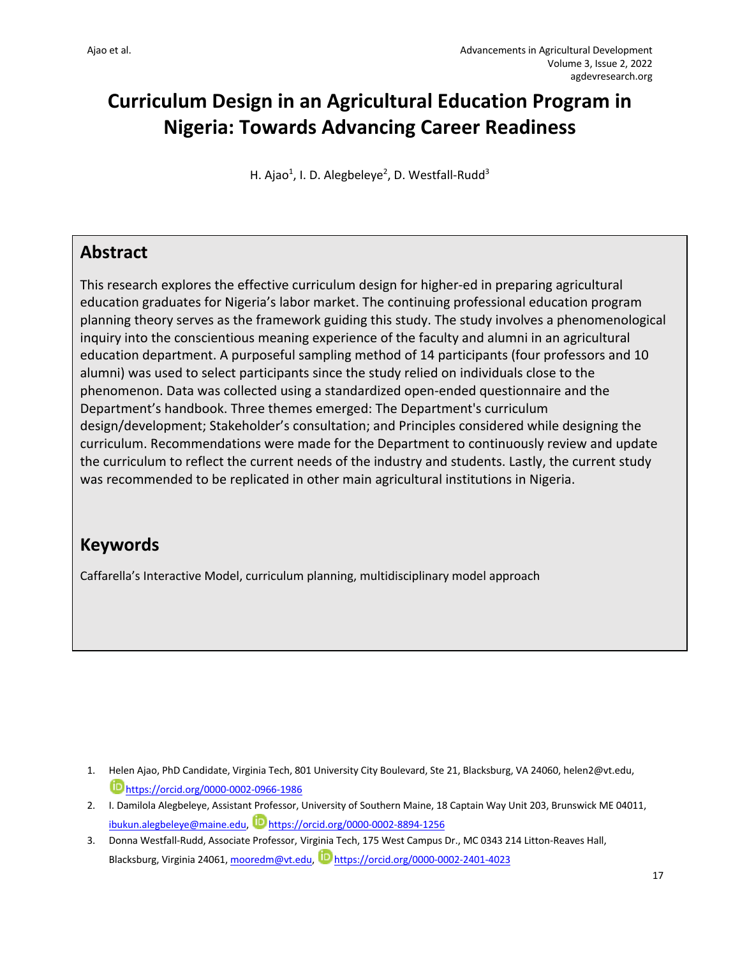# **Curriculum Design in an Agricultural Education Program in Nigeria: Towards Advancing Career Readiness**

H. Ajao<sup>1</sup>, I. D. Alegbeleye<sup>2</sup>, D. Westfall-Rudd<sup>3</sup>

## **Abstract**

This research explores the effective curriculum design for higher-ed in preparing agricultural education graduates for Nigeria's labor market. The continuing professional education program planning theory serves as the framework guiding this study. The study involves a phenomenological inquiry into the conscientious meaning experience of the faculty and alumni in an agricultural education department. A purposeful sampling method of 14 participants (four professors and 10 alumni) was used to select participants since the study relied on individuals close to the phenomenon. Data was collected using a standardized open-ended questionnaire and the Department's handbook. Three themes emerged: The Department's curriculum design/development; Stakeholder's consultation; and Principles considered while designing the curriculum. Recommendations were made for the Department to continuously review and update the curriculum to reflect the current needs of the industry and students. Lastly, the current study was recommended to be replicated in other main agricultural institutions in Nigeria.

## **Keywords**

Caffarella's Interactive Model, curriculum planning, multidisciplinary model approach

- 1. Helen Ajao, PhD Candidate, Virginia Tech, 801 University City Boulevard, Ste 21, Blacksburg, VA 24060, helen2@vt.edu, https://orcid.org/0000-0002-0966-1986
- 2. I. Damilola Alegbeleye, Assistant Professor, University of Southern Maine, 18 Captain Way Unit 203, Brunswick ME 04011, ibukun.alegbeleye@maine.edu, Dhttps://orcid.org/0000-0002-8894-1256
- 3. Donna Westfall-Rudd, Associate Professor, Virginia Tech, 175 West Campus Dr., MC 0343 214 Litton-Reaves Hall, Blacksburg, Virginia 24061, mooredm@vt.edu, https://orcid.org/0000-0002-2401-4023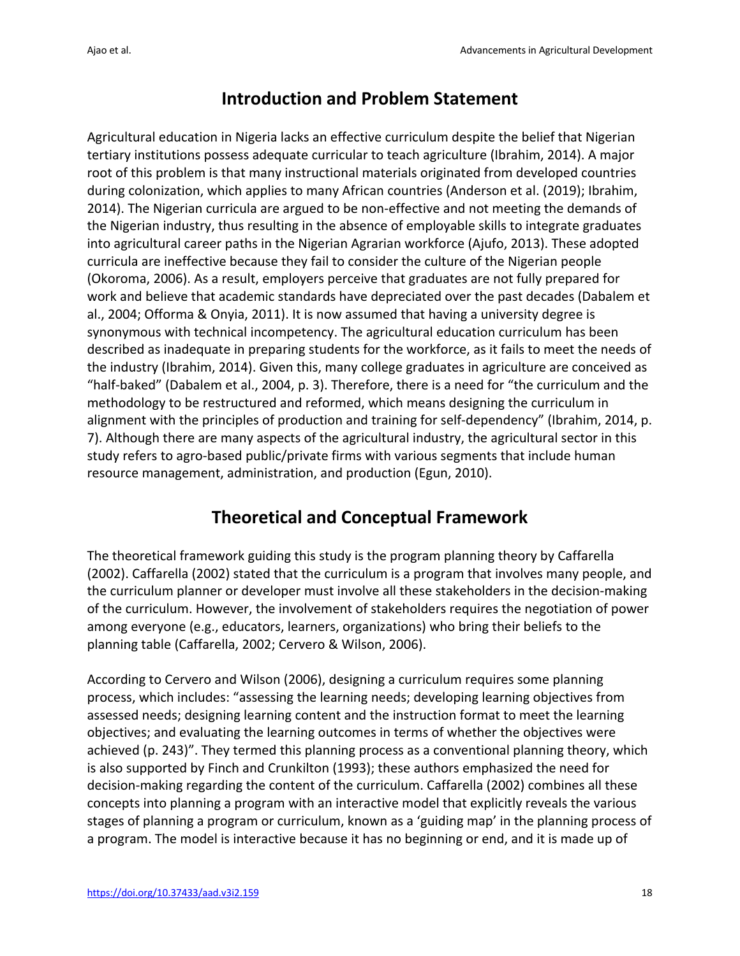# **Introduction and Problem Statement**

Agricultural education in Nigeria lacks an effective curriculum despite the belief that Nigerian tertiary institutions possess adequate curricular to teach agriculture (Ibrahim, 2014). A major root of this problem is that many instructional materials originated from developed countries during colonization, which applies to many African countries (Anderson et al. (2019); Ibrahim, 2014). The Nigerian curricula are argued to be non-effective and not meeting the demands of the Nigerian industry, thus resulting in the absence of employable skills to integrate graduates into agricultural career paths in the Nigerian Agrarian workforce (Ajufo, 2013). These adopted curricula are ineffective because they fail to consider the culture of the Nigerian people (Okoroma, 2006). As a result, employers perceive that graduates are not fully prepared for work and believe that academic standards have depreciated over the past decades (Dabalem et al., 2004; Offorma & Onyia, 2011). It is now assumed that having a university degree is synonymous with technical incompetency. The agricultural education curriculum has been described as inadequate in preparing students for the workforce, as it fails to meet the needs of the industry (Ibrahim, 2014). Given this, many college graduates in agriculture are conceived as "half-baked" (Dabalem et al., 2004, p. 3). Therefore, there is a need for "the curriculum and the methodology to be restructured and reformed, which means designing the curriculum in alignment with the principles of production and training for self-dependency" (Ibrahim, 2014, p. 7). Although there are many aspects of the agricultural industry, the agricultural sector in this study refers to agro-based public/private firms with various segments that include human resource management, administration, and production (Egun, 2010).

# **Theoretical and Conceptual Framework**

The theoretical framework guiding this study is the program planning theory by Caffarella (2002). Caffarella (2002) stated that the curriculum is a program that involves many people, and the curriculum planner or developer must involve all these stakeholders in the decision-making of the curriculum. However, the involvement of stakeholders requires the negotiation of power among everyone (e.g., educators, learners, organizations) who bring their beliefs to the planning table (Caffarella, 2002; Cervero & Wilson, 2006).

According to Cervero and Wilson (2006), designing a curriculum requires some planning process, which includes: "assessing the learning needs; developing learning objectives from assessed needs; designing learning content and the instruction format to meet the learning objectives; and evaluating the learning outcomes in terms of whether the objectives were achieved (p. 243)". They termed this planning process as a conventional planning theory, which is also supported by Finch and Crunkilton (1993); these authors emphasized the need for decision-making regarding the content of the curriculum. Caffarella (2002) combines all these concepts into planning a program with an interactive model that explicitly reveals the various stages of planning a program or curriculum, known as a 'guiding map' in the planning process of a program. The model is interactive because it has no beginning or end, and it is made up of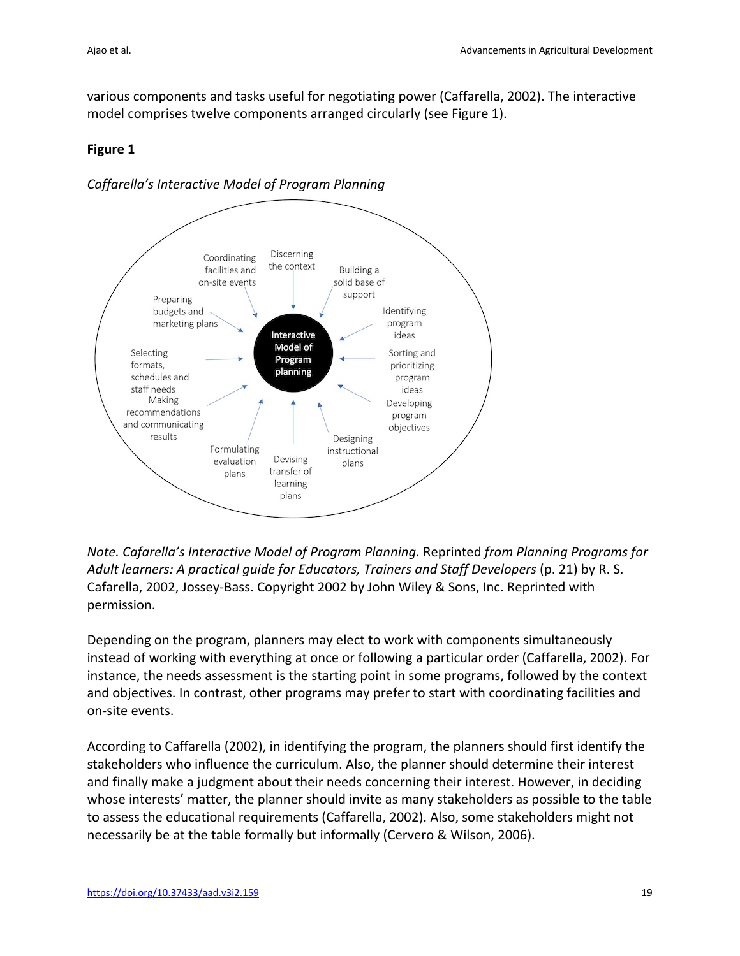various components and tasks useful for negotiating power (Caffarella, 2002). The interactive model comprises twelve components arranged circularly (see Figure 1).

### **Figure 1**

*Caffarella's Interactive Model of Program Planning*



*Note. Cafarella's Interactive Model of Program Planning.* Reprinted *from Planning Programs for Adult learners: A practical guide for Educators, Trainers and Staff Developers* (p. 21) by R. S. Cafarella, 2002, Jossey-Bass. Copyright 2002 by John Wiley & Sons, Inc. Reprinted with permission.

Depending on the program, planners may elect to work with components simultaneously instead of working with everything at once or following a particular order (Caffarella, 2002). For instance, the needs assessment is the starting point in some programs, followed by the context and objectives. In contrast, other programs may prefer to start with coordinating facilities and on-site events.

According to Caffarella (2002), in identifying the program, the planners should first identify the stakeholders who influence the curriculum. Also, the planner should determine their interest and finally make a judgment about their needs concerning their interest. However, in deciding whose interests' matter, the planner should invite as many stakeholders as possible to the table to assess the educational requirements (Caffarella, 2002). Also, some stakeholders might not necessarily be at the table formally but informally (Cervero & Wilson, 2006).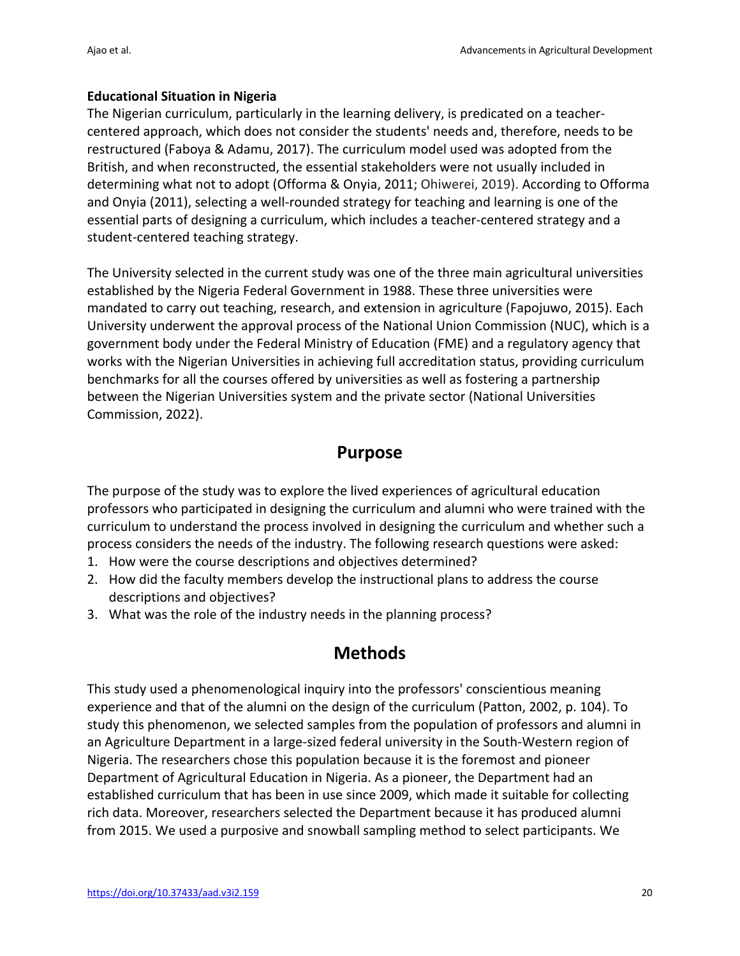### **Educational Situation in Nigeria**

The Nigerian curriculum, particularly in the learning delivery, is predicated on a teachercentered approach, which does not consider the students' needs and, therefore, needs to be restructured (Faboya & Adamu, 2017). The curriculum model used was adopted from the British, and when reconstructed, the essential stakeholders were not usually included in determining what not to adopt (Offorma & Onyia, 2011; Ohiwerei, 2019). According to Offorma and Onyia (2011), selecting a well-rounded strategy for teaching and learning is one of the essential parts of designing a curriculum, which includes a teacher-centered strategy and a student-centered teaching strategy.

The University selected in the current study was one of the three main agricultural universities established by the Nigeria Federal Government in 1988. These three universities were mandated to carry out teaching, research, and extension in agriculture (Fapojuwo, 2015). Each University underwent the approval process of the National Union Commission (NUC), which is a government body under the Federal Ministry of Education (FME) and a regulatory agency that works with the Nigerian Universities in achieving full accreditation status, providing curriculum benchmarks for all the courses offered by universities as well as fostering a partnership between the Nigerian Universities system and the private sector (National Universities Commission, 2022).

## **Purpose**

The purpose of the study was to explore the lived experiences of agricultural education professors who participated in designing the curriculum and alumni who were trained with the curriculum to understand the process involved in designing the curriculum and whether such a process considers the needs of the industry. The following research questions were asked:

- 1. How were the course descriptions and objectives determined?
- 2. How did the faculty members develop the instructional plans to address the course descriptions and objectives?
- 3. What was the role of the industry needs in the planning process?

## **Methods**

This study used a phenomenological inquiry into the professors' conscientious meaning experience and that of the alumni on the design of the curriculum (Patton, 2002, p. 104). To study this phenomenon, we selected samples from the population of professors and alumni in an Agriculture Department in a large-sized federal university in the South-Western region of Nigeria. The researchers chose this population because it is the foremost and pioneer Department of Agricultural Education in Nigeria. As a pioneer, the Department had an established curriculum that has been in use since 2009, which made it suitable for collecting rich data. Moreover, researchers selected the Department because it has produced alumni from 2015. We used a purposive and snowball sampling method to select participants. We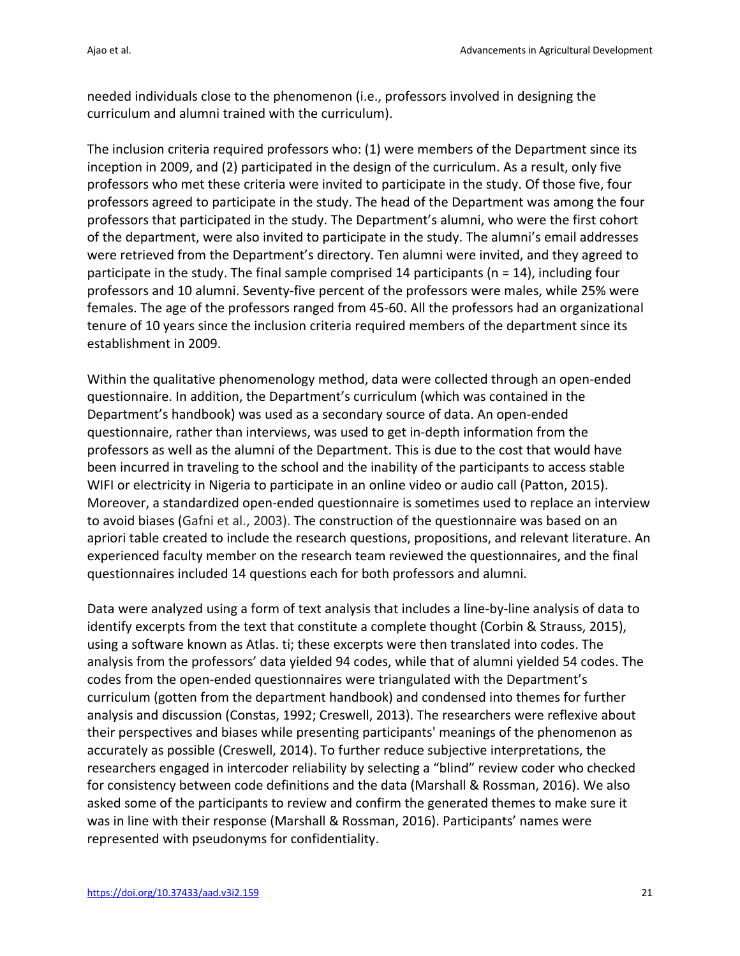needed individuals close to the phenomenon (i.e., professors involved in designing the curriculum and alumni trained with the curriculum).

The inclusion criteria required professors who: (1) were members of the Department since its inception in 2009, and (2) participated in the design of the curriculum. As a result, only five professors who met these criteria were invited to participate in the study. Of those five, four professors agreed to participate in the study. The head of the Department was among the four professors that participated in the study. The Department's alumni, who were the first cohort of the department, were also invited to participate in the study. The alumni's email addresses were retrieved from the Department's directory. Ten alumni were invited, and they agreed to participate in the study. The final sample comprised 14 participants (n = 14), including four professors and 10 alumni. Seventy-five percent of the professors were males, while 25% were females. The age of the professors ranged from 45-60. All the professors had an organizational tenure of 10 years since the inclusion criteria required members of the department since its establishment in 2009.

Within the qualitative phenomenology method, data were collected through an open-ended questionnaire. In addition, the Department's curriculum (which was contained in the Department's handbook) was used as a secondary source of data. An open-ended questionnaire, rather than interviews, was used to get in-depth information from the professors as well as the alumni of the Department. This is due to the cost that would have been incurred in traveling to the school and the inability of the participants to access stable WIFI or electricity in Nigeria to participate in an online video or audio call (Patton, 2015). Moreover, a standardized open-ended questionnaire is sometimes used to replace an interview to avoid biases (Gafni et al., 2003). The construction of the questionnaire was based on an apriori table created to include the research questions, propositions, and relevant literature. An experienced faculty member on the research team reviewed the questionnaires, and the final questionnaires included 14 questions each for both professors and alumni.

Data were analyzed using a form of text analysis that includes a line-by-line analysis of data to identify excerpts from the text that constitute a complete thought (Corbin & Strauss, 2015), using a software known as Atlas. ti; these excerpts were then translated into codes. The analysis from the professors' data yielded 94 codes, while that of alumni yielded 54 codes. The codes from the open-ended questionnaires were triangulated with the Department's curriculum (gotten from the department handbook) and condensed into themes for further analysis and discussion (Constas, 1992; Creswell, 2013). The researchers were reflexive about their perspectives and biases while presenting participants' meanings of the phenomenon as accurately as possible (Creswell, 2014). To further reduce subjective interpretations, the researchers engaged in intercoder reliability by selecting a "blind" review coder who checked for consistency between code definitions and the data (Marshall & Rossman, 2016). We also asked some of the participants to review and confirm the generated themes to make sure it was in line with their response (Marshall & Rossman, 2016). Participants' names were represented with pseudonyms for confidentiality.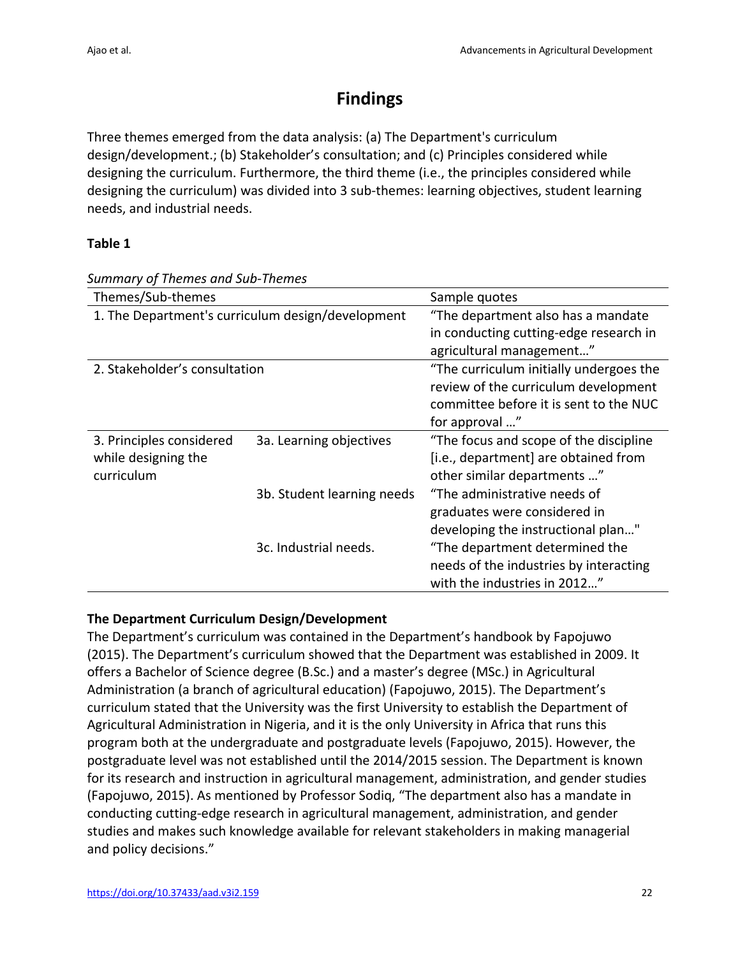# **Findings**

Three themes emerged from the data analysis: (a) The Department's curriculum design/development.; (b) Stakeholder's consultation; and (c) Principles considered while designing the curriculum. Furthermore, the third theme (i.e., the principles considered while designing the curriculum) was divided into 3 sub-themes: learning objectives, student learning needs, and industrial needs.

### **Table 1**

| Themes/Sub-themes                                 |                            | Sample quotes                           |
|---------------------------------------------------|----------------------------|-----------------------------------------|
| 1. The Department's curriculum design/development |                            | "The department also has a mandate      |
|                                                   |                            | in conducting cutting-edge research in  |
|                                                   |                            | agricultural management"                |
| 2. Stakeholder's consultation                     |                            | "The curriculum initially undergoes the |
|                                                   |                            | review of the curriculum development    |
|                                                   |                            | committee before it is sent to the NUC  |
|                                                   |                            | for approval "                          |
| 3. Principles considered                          | 3a. Learning objectives    | "The focus and scope of the discipline  |
| while designing the                               |                            | [i.e., department] are obtained from    |
| curriculum                                        |                            | other similar departments "             |
|                                                   | 3b. Student learning needs | "The administrative needs of            |
|                                                   |                            | graduates were considered in            |
|                                                   |                            | developing the instructional plan"      |
|                                                   | 3c. Industrial needs.      | "The department determined the          |
|                                                   |                            | needs of the industries by interacting  |
|                                                   |                            | with the industries in 2012"            |

*Summary of Themes and Sub-Themes*

## **The Department Curriculum Design/Development**

The Department's curriculum was contained in the Department's handbook by Fapojuwo (2015). The Department's curriculum showed that the Department was established in 2009. It offers a Bachelor of Science degree (B.Sc.) and a master's degree (MSc.) in Agricultural Administration (a branch of agricultural education) (Fapojuwo, 2015). The Department's curriculum stated that the University was the first University to establish the Department of Agricultural Administration in Nigeria, and it is the only University in Africa that runs this program both at the undergraduate and postgraduate levels (Fapojuwo, 2015). However, the postgraduate level was not established until the 2014/2015 session. The Department is known for its research and instruction in agricultural management, administration, and gender studies (Fapojuwo, 2015). As mentioned by Professor Sodiq, "The department also has a mandate in conducting cutting-edge research in agricultural management, administration, and gender studies and makes such knowledge available for relevant stakeholders in making managerial and policy decisions."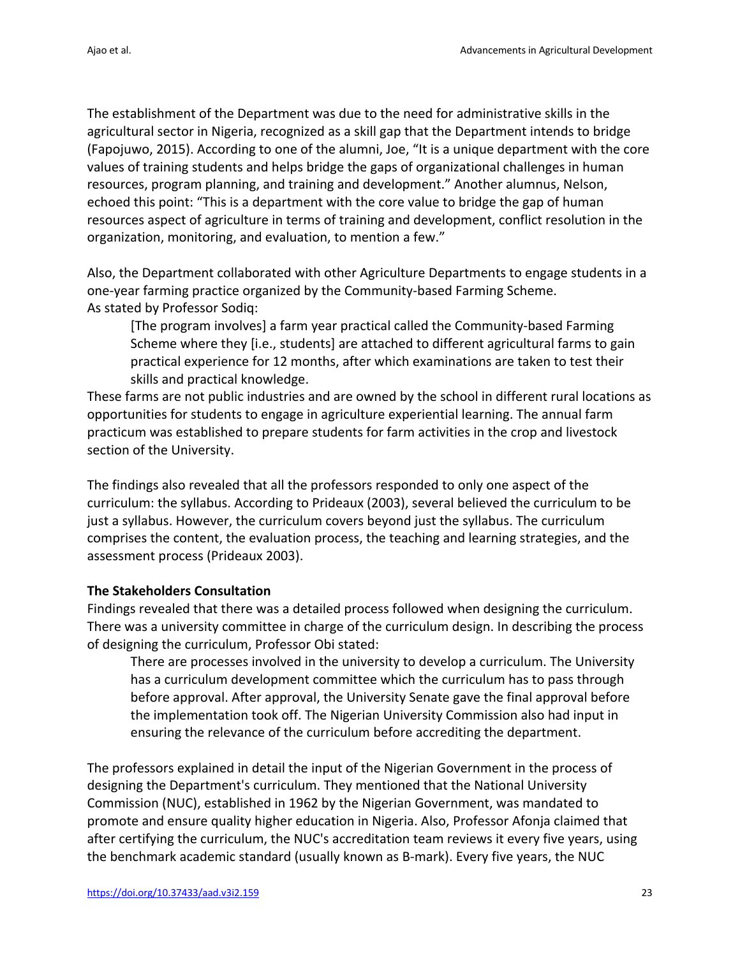The establishment of the Department was due to the need for administrative skills in the agricultural sector in Nigeria, recognized as a skill gap that the Department intends to bridge (Fapojuwo, 2015). According to one of the alumni, Joe, "It is a unique department with the core values of training students and helps bridge the gaps of organizational challenges in human resources, program planning, and training and development." Another alumnus, Nelson, echoed this point: "This is a department with the core value to bridge the gap of human resources aspect of agriculture in terms of training and development, conflict resolution in the organization, monitoring, and evaluation, to mention a few."

Also, the Department collaborated with other Agriculture Departments to engage students in a one-year farming practice organized by the Community-based Farming Scheme. As stated by Professor Sodiq:

[The program involves] a farm year practical called the Community-based Farming Scheme where they [i.e., students] are attached to different agricultural farms to gain practical experience for 12 months, after which examinations are taken to test their skills and practical knowledge.

These farms are not public industries and are owned by the school in different rural locations as opportunities for students to engage in agriculture experiential learning. The annual farm practicum was established to prepare students for farm activities in the crop and livestock section of the University.

The findings also revealed that all the professors responded to only one aspect of the curriculum: the syllabus. According to Prideaux (2003), several believed the curriculum to be just a syllabus. However, the curriculum covers beyond just the syllabus. The curriculum comprises the content, the evaluation process, the teaching and learning strategies, and the assessment process (Prideaux 2003).

### **The Stakeholders Consultation**

Findings revealed that there was a detailed process followed when designing the curriculum. There was a university committee in charge of the curriculum design. In describing the process of designing the curriculum, Professor Obi stated:

There are processes involved in the university to develop a curriculum. The University has a curriculum development committee which the curriculum has to pass through before approval. After approval, the University Senate gave the final approval before the implementation took off. The Nigerian University Commission also had input in ensuring the relevance of the curriculum before accrediting the department.

The professors explained in detail the input of the Nigerian Government in the process of designing the Department's curriculum. They mentioned that the National University Commission (NUC), established in 1962 by the Nigerian Government, was mandated to promote and ensure quality higher education in Nigeria. Also, Professor Afonja claimed that after certifying the curriculum, the NUC's accreditation team reviews it every five years, using the benchmark academic standard (usually known as B-mark). Every five years, the NUC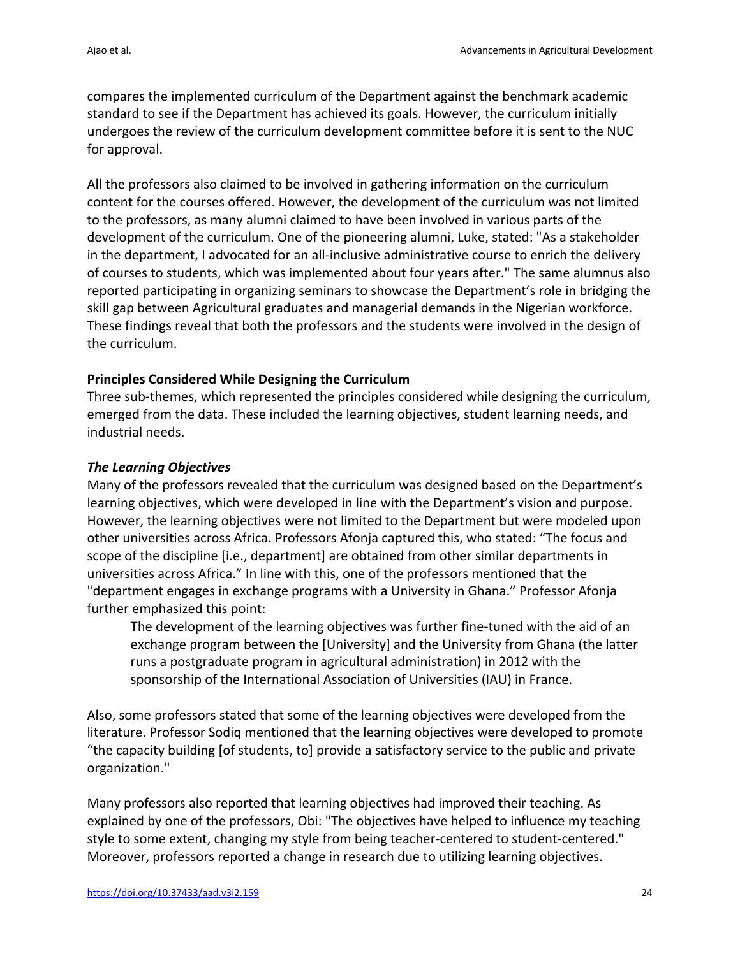compares the implemented curriculum of the Department against the benchmark academic standard to see if the Department has achieved its goals. However, the curriculum initially undergoes the review of the curriculum development committee before it is sent to the NUC for approval.

All the professors also claimed to be involved in gathering information on the curriculum content for the courses offered. However, the development of the curriculum was not limited to the professors, as many alumni claimed to have been involved in various parts of the development of the curriculum. One of the pioneering alumni, Luke, stated: "As a stakeholder in the department, I advocated for an all-inclusive administrative course to enrich the delivery of courses to students, which was implemented about four years after." The same alumnus also reported participating in organizing seminars to showcase the Department's role in bridging the skill gap between Agricultural graduates and managerial demands in the Nigerian workforce. These findings reveal that both the professors and the students were involved in the design of the curriculum.

### **Principles Considered While Designing the Curriculum**

Three sub-themes, which represented the principles considered while designing the curriculum, emerged from the data. These included the learning objectives, student learning needs, and industrial needs.

#### *The Learning Objectives*

Many of the professors revealed that the curriculum was designed based on the Department's learning objectives, which were developed in line with the Department's vision and purpose. However, the learning objectives were not limited to the Department but were modeled upon other universities across Africa. Professors Afonja captured this, who stated: "The focus and scope of the discipline [i.e., department] are obtained from other similar departments in universities across Africa." In line with this, one of the professors mentioned that the "department engages in exchange programs with a University in Ghana." Professor Afonja further emphasized this point:

The development of the learning objectives was further fine-tuned with the aid of an exchange program between the [University] and the University from Ghana (the latter runs a postgraduate program in agricultural administration) in 2012 with the sponsorship of the International Association of Universities (IAU) in France.

Also, some professors stated that some of the learning objectives were developed from the literature. Professor Sodiq mentioned that the learning objectives were developed to promote "the capacity building [of students, to] provide a satisfactory service to the public and private organization."

Many professors also reported that learning objectives had improved their teaching. As explained by one of the professors, Obi: "The objectives have helped to influence my teaching style to some extent, changing my style from being teacher-centered to student-centered." Moreover, professors reported a change in research due to utilizing learning objectives.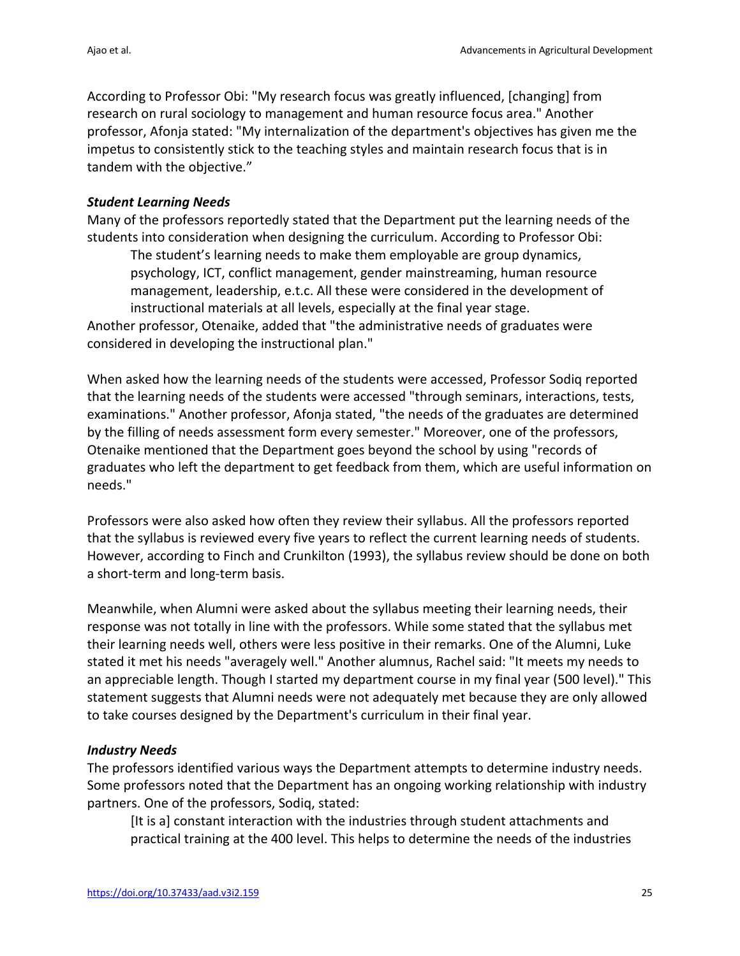According to Professor Obi: "My research focus was greatly influenced, [changing] from research on rural sociology to management and human resource focus area." Another professor, Afonja stated: "My internalization of the department's objectives has given me the impetus to consistently stick to the teaching styles and maintain research focus that is in tandem with the objective."

#### *Student Learning Needs*

Many of the professors reportedly stated that the Department put the learning needs of the students into consideration when designing the curriculum. According to Professor Obi:

The student's learning needs to make them employable are group dynamics, psychology, ICT, conflict management, gender mainstreaming, human resource management, leadership, e.t.c. All these were considered in the development of instructional materials at all levels, especially at the final year stage.

Another professor, Otenaike, added that "the administrative needs of graduates were considered in developing the instructional plan."

When asked how the learning needs of the students were accessed, Professor Sodiq reported that the learning needs of the students were accessed "through seminars, interactions, tests, examinations." Another professor, Afonja stated, "the needs of the graduates are determined by the filling of needs assessment form every semester." Moreover, one of the professors, Otenaike mentioned that the Department goes beyond the school by using "records of graduates who left the department to get feedback from them, which are useful information on needs."

Professors were also asked how often they review their syllabus. All the professors reported that the syllabus is reviewed every five years to reflect the current learning needs of students. However, according to Finch and Crunkilton (1993), the syllabus review should be done on both a short-term and long-term basis.

Meanwhile, when Alumni were asked about the syllabus meeting their learning needs, their response was not totally in line with the professors. While some stated that the syllabus met their learning needs well, others were less positive in their remarks. One of the Alumni, Luke stated it met his needs "averagely well." Another alumnus, Rachel said: "It meets my needs to an appreciable length. Though I started my department course in my final year (500 level)." This statement suggests that Alumni needs were not adequately met because they are only allowed to take courses designed by the Department's curriculum in their final year.

### *Industry Needs*

The professors identified various ways the Department attempts to determine industry needs. Some professors noted that the Department has an ongoing working relationship with industry partners. One of the professors, Sodiq, stated:

[It is a] constant interaction with the industries through student attachments and practical training at the 400 level. This helps to determine the needs of the industries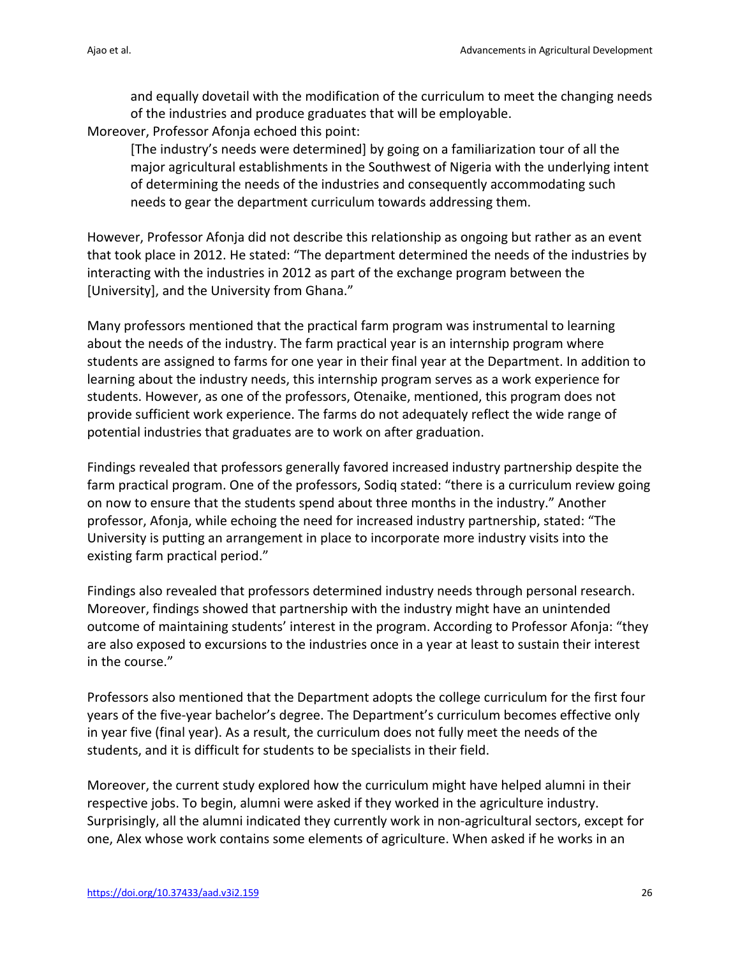and equally dovetail with the modification of the curriculum to meet the changing needs of the industries and produce graduates that will be employable.

Moreover, Professor Afonja echoed this point:

[The industry's needs were determined] by going on a familiarization tour of all the major agricultural establishments in the Southwest of Nigeria with the underlying intent of determining the needs of the industries and consequently accommodating such needs to gear the department curriculum towards addressing them.

However, Professor Afonja did not describe this relationship as ongoing but rather as an event that took place in 2012. He stated: "The department determined the needs of the industries by interacting with the industries in 2012 as part of the exchange program between the [University], and the University from Ghana."

Many professors mentioned that the practical farm program was instrumental to learning about the needs of the industry. The farm practical year is an internship program where students are assigned to farms for one year in their final year at the Department. In addition to learning about the industry needs, this internship program serves as a work experience for students. However, as one of the professors, Otenaike, mentioned, this program does not provide sufficient work experience. The farms do not adequately reflect the wide range of potential industries that graduates are to work on after graduation.

Findings revealed that professors generally favored increased industry partnership despite the farm practical program. One of the professors, Sodiq stated: "there is a curriculum review going on now to ensure that the students spend about three months in the industry." Another professor, Afonja, while echoing the need for increased industry partnership, stated: "The University is putting an arrangement in place to incorporate more industry visits into the existing farm practical period."

Findings also revealed that professors determined industry needs through personal research. Moreover, findings showed that partnership with the industry might have an unintended outcome of maintaining students' interest in the program. According to Professor Afonja: "they are also exposed to excursions to the industries once in a year at least to sustain their interest in the course."

Professors also mentioned that the Department adopts the college curriculum for the first four years of the five-year bachelor's degree. The Department's curriculum becomes effective only in year five (final year). As a result, the curriculum does not fully meet the needs of the students, and it is difficult for students to be specialists in their field.

Moreover, the current study explored how the curriculum might have helped alumni in their respective jobs. To begin, alumni were asked if they worked in the agriculture industry. Surprisingly, all the alumni indicated they currently work in non-agricultural sectors, except for one, Alex whose work contains some elements of agriculture. When asked if he works in an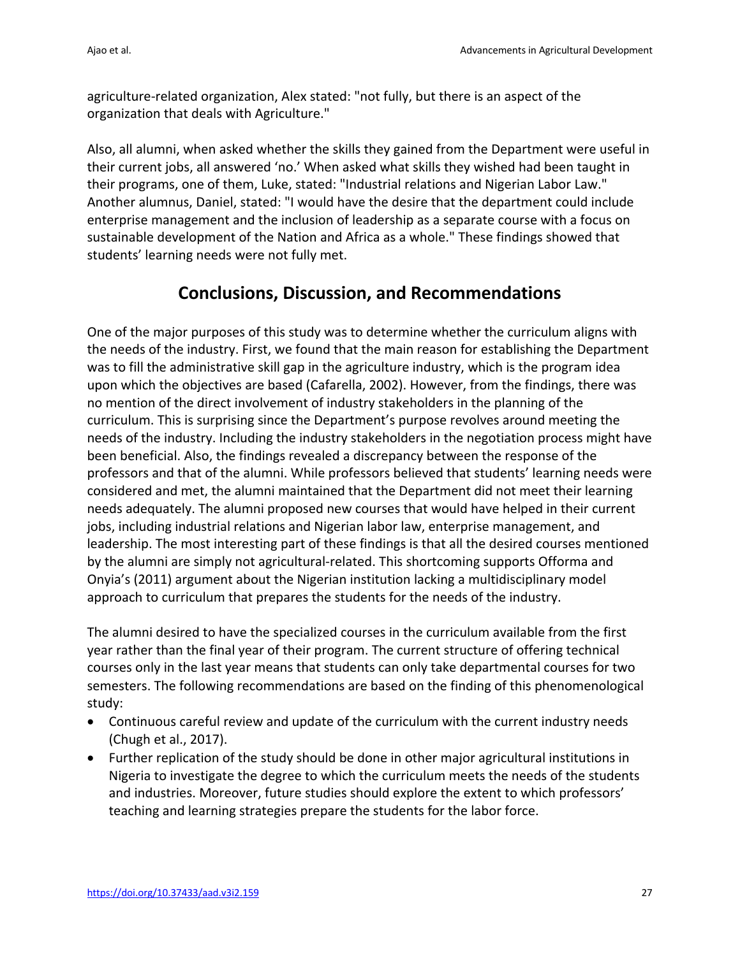agriculture-related organization, Alex stated: "not fully, but there is an aspect of the organization that deals with Agriculture."

Also, all alumni, when asked whether the skills they gained from the Department were useful in their current jobs, all answered 'no.' When asked what skills they wished had been taught in their programs, one of them, Luke, stated: "Industrial relations and Nigerian Labor Law." Another alumnus, Daniel, stated: "I would have the desire that the department could include enterprise management and the inclusion of leadership as a separate course with a focus on sustainable development of the Nation and Africa as a whole." These findings showed that students' learning needs were not fully met.

# **Conclusions, Discussion, and Recommendations**

One of the major purposes of this study was to determine whether the curriculum aligns with the needs of the industry. First, we found that the main reason for establishing the Department was to fill the administrative skill gap in the agriculture industry, which is the program idea upon which the objectives are based (Cafarella, 2002). However, from the findings, there was no mention of the direct involvement of industry stakeholders in the planning of the curriculum. This is surprising since the Department's purpose revolves around meeting the needs of the industry. Including the industry stakeholders in the negotiation process might have been beneficial. Also, the findings revealed a discrepancy between the response of the professors and that of the alumni. While professors believed that students' learning needs were considered and met, the alumni maintained that the Department did not meet their learning needs adequately. The alumni proposed new courses that would have helped in their current jobs, including industrial relations and Nigerian labor law, enterprise management, and leadership. The most interesting part of these findings is that all the desired courses mentioned by the alumni are simply not agricultural-related. This shortcoming supports Offorma and Onyia's (2011) argument about the Nigerian institution lacking a multidisciplinary model approach to curriculum that prepares the students for the needs of the industry.

The alumni desired to have the specialized courses in the curriculum available from the first year rather than the final year of their program. The current structure of offering technical courses only in the last year means that students can only take departmental courses for two semesters. The following recommendations are based on the finding of this phenomenological study:

- Continuous careful review and update of the curriculum with the current industry needs (Chugh et al., 2017).
- Further replication of the study should be done in other major agricultural institutions in Nigeria to investigate the degree to which the curriculum meets the needs of the students and industries. Moreover, future studies should explore the extent to which professors' teaching and learning strategies prepare the students for the labor force.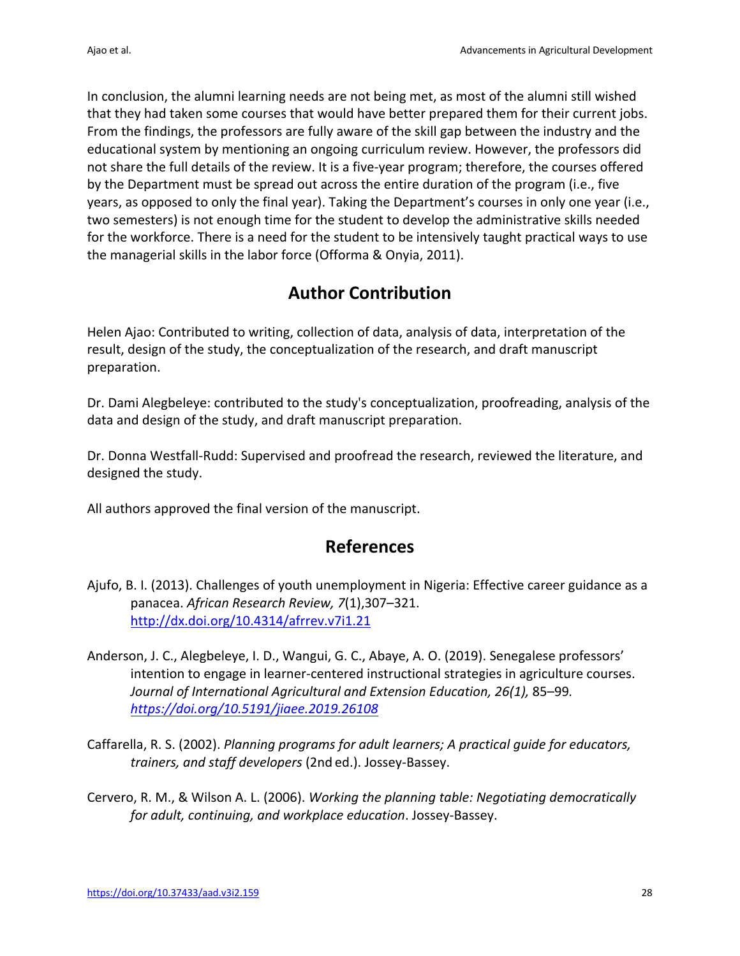In conclusion, the alumni learning needs are not being met, as most of the alumni still wished that they had taken some courses that would have better prepared them for their current jobs. From the findings, the professors are fully aware of the skill gap between the industry and the educational system by mentioning an ongoing curriculum review. However, the professors did not share the full details of the review. It is a five-year program; therefore, the courses offered by the Department must be spread out across the entire duration of the program (i.e., five years, as opposed to only the final year). Taking the Department's courses in only one year (i.e., two semesters) is not enough time for the student to develop the administrative skills needed for the workforce. There is a need for the student to be intensively taught practical ways to use the managerial skills in the labor force (Offorma & Onyia, 2011).

# **Author Contribution**

Helen Ajao: Contributed to writing, collection of data, analysis of data, interpretation of the result, design of the study, the conceptualization of the research, and draft manuscript preparation.

Dr. Dami Alegbeleye: contributed to the study's conceptualization, proofreading, analysis of the data and design of the study, and draft manuscript preparation.

Dr. Donna Westfall-Rudd: Supervised and proofread the research, reviewed the literature, and designed the study.

All authors approved the final version of the manuscript.

## **References**

- Ajufo, B. I. (2013). Challenges of youth unemployment in Nigeria: Effective career guidance as a panacea. *African Research Review, 7*(1),307–321. http://dx.doi.org/10.4314/afrrev.v7i1.21
- Anderson, J. C., Alegbeleye, I. D., Wangui, G. C., Abaye, A. O. (2019). Senegalese professors' intention to engage in learner-centered instructional strategies in agriculture courses. *Journal of International Agricultural and Extension Education, 26(1),* 85–99*. https://doi.org/10.5191/jiaee.2019.26108*
- Caffarella, R. S. (2002). *Planning programs for adult learners; A practical guide for educators, trainers, and staff developers* (2nd ed.). Jossey-Bassey.
- Cervero, R. M., & Wilson A. L. (2006). *Working the planning table: Negotiating democratically for adult, continuing, and workplace education*. Jossey-Bassey.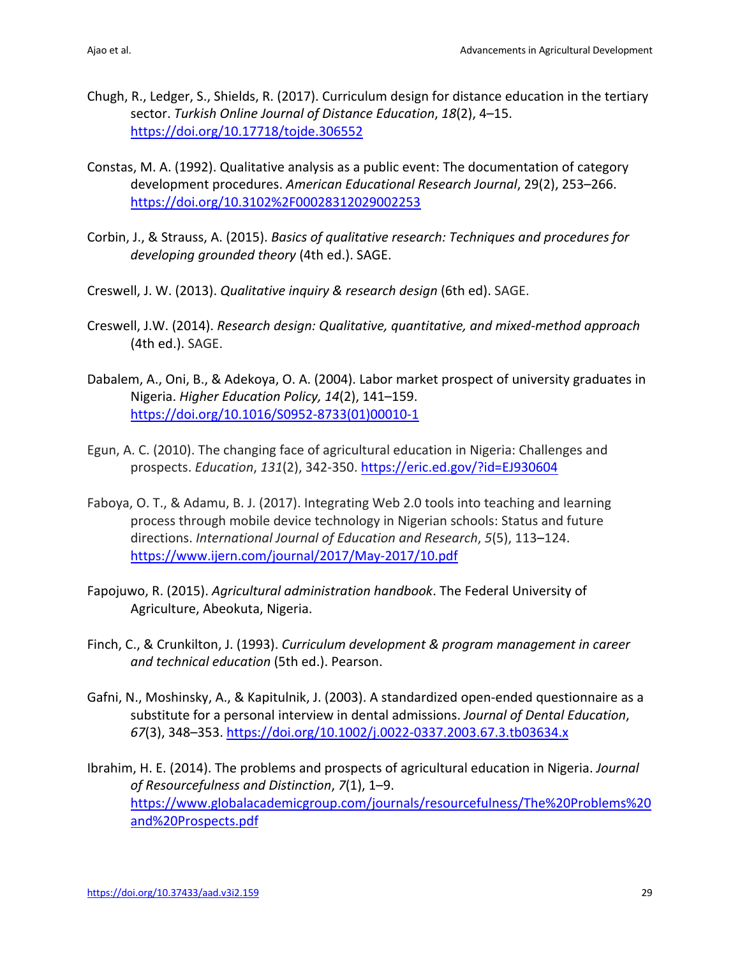- Chugh, R., Ledger, S., Shields, R. (2017). Curriculum design for distance education in the tertiary sector. *Turkish Online Journal of Distance Education*, *18*(2), 4–15. https://doi.org/10.17718/tojde.306552
- Constas, M. A. (1992). Qualitative analysis as a public event: The documentation of category development procedures. *American Educational Research Journal*, 29(2), 253–266. https://doi.org/10.3102%2F00028312029002253
- Corbin, J., & Strauss, A. (2015). *Basics of qualitative research: Techniques and procedures for developing grounded theory* (4th ed.). SAGE.
- Creswell, J. W. (2013). *Qualitative inquiry & research design* (6th ed). SAGE.
- Creswell, J.W. (2014). *Research design: Qualitative, quantitative, and mixed-method approach* (4th ed.). SAGE.
- Dabalem, A., Oni, B., & Adekoya, O. A. (2004). Labor market prospect of university graduates in Nigeria. *Higher Education Policy, 14*(2), 141–159. https://doi.org/10.1016/S0952-8733(01)00010-1
- Egun, A. C. (2010). The changing face of agricultural education in Nigeria: Challenges and prospects. *Education*, *131*(2), 342-350. https://eric.ed.gov/?id=EJ930604
- Faboya, O. T., & Adamu, B. J. (2017). Integrating Web 2.0 tools into teaching and learning process through mobile device technology in Nigerian schools: Status and future directions. *International Journal of Education and Research*, *5*(5), 113–124. https://www.ijern.com/journal/2017/May-2017/10.pdf
- Fapojuwo, R. (2015). *Agricultural administration handbook*. The Federal University of Agriculture, Abeokuta, Nigeria.
- Finch, C., & Crunkilton, J. (1993). *Curriculum development & program management in career and technical education* (5th ed.). Pearson.
- Gafni, N., Moshinsky, A., & Kapitulnik, J. (2003). A standardized open-ended questionnaire as a substitute for a personal interview in dental admissions. *Journal of Dental Education*, *67*(3), 348–353. https://doi.org/10.1002/j.0022-0337.2003.67.3.tb03634.x
- Ibrahim, H. E. (2014). The problems and prospects of agricultural education in Nigeria. *Journal of Resourcefulness and Distinction*, *7*(1), 1–9. https://www.globalacademicgroup.com/journals/resourcefulness/The%20Problems%20 and%20Prospects.pdf